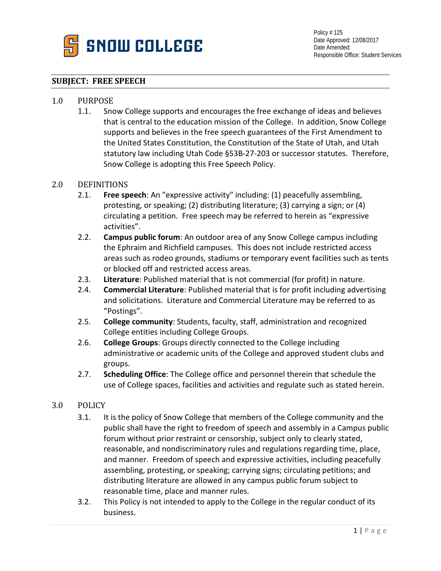

#### **SUBJECT: FREE SPEECH**

# 1.0 PURPOSE<br>1.1. Sno

1.1. Snow College supports and encourages the free exchange of ideas and believes that is central to the education mission of the College. In addition, Snow College supports and believes in the free speech guarantees of the First Amendment to the United States Constitution, the Constitution of the State of Utah, and Utah statutory law including Utah Code §53B-27-203 or successor statutes. Therefore, Snow College is adopting this Free Speech Policy.

## 2.0 DEFINITIONS<br>2.1. Free sp

- Free speech: An "expressive activity" including: (1) peacefully assembling, protesting, or speaking; (2) distributing literature; (3) carrying a sign; or (4) circulating a petition. Free speech may be referred to herein as "expressive activities".
- 2.2. **Campus public forum**: An outdoor area of any Snow College campus including the Ephraim and Richfield campuses. This does not include restricted access areas such as rodeo grounds, stadiums or temporary event facilities such as tents or blocked off and restricted access areas.
- 2.3. **Literature**: Published material that is not commercial (for profit) in nature.
- 2.4. **Commercial Literature**: Published material that is for profit including advertising and solicitations. Literature and Commercial Literature may be referred to as "Postings".
- 2.5. **College community**: Students, faculty, staff, administration and recognized College entities including College Groups.
- 2.6. **College Groups**: Groups directly connected to the College including administrative or academic units of the College and approved student clubs and groups.
- 2.7. **Scheduling Office**: The College office and personnel therein that schedule the use of College spaces, facilities and activities and regulate such as stated herein.

#### 3.0 POLICY

- 3.1. It is the policy of Snow College that members of the College community and the public shall have the right to freedom of speech and assembly in a Campus public forum without prior restraint or censorship, subject only to clearly stated, reasonable, and nondiscriminatory rules and regulations regarding time, place, and manner. Freedom of speech and expressive activities, including peacefully assembling, protesting, or speaking; carrying signs; circulating petitions; and distributing literature are allowed in any campus public forum subject to reasonable time, place and manner rules.
- 3.2. This Policy is not intended to apply to the College in the regular conduct of its business.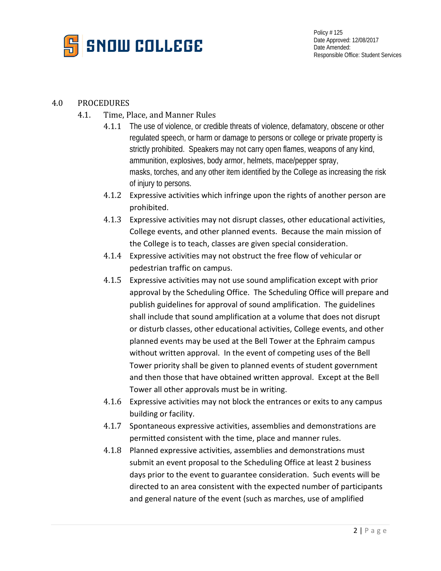

### 4.0 PROCEDURES

- 4.1. Time, Place, and Manner Rules
	- 4.1.1 The use of violence, or credible threats of violence, defamatory, obscene or other regulated speech, or harm or damage to persons or college or private property is strictly prohibited. Speakers may not carry open flames, weapons of any kind, ammunition, explosives, body armor, helmets, mace/pepper spray, masks, torches, and any other item identified by the College as increasing the risk of injury to persons.
	- 4.1.2 Expressive activities which infringe upon the rights of another person are prohibited.
	- 4.1.3 Expressive activities may not disrupt classes, other educational activities, College events, and other planned events. Because the main mission of the College is to teach, classes are given special consideration.
	- 4.1.4 Expressive activities may not obstruct the free flow of vehicular or pedestrian traffic on campus.
	- 4.1.5 Expressive activities may not use sound amplification except with prior approval by the Scheduling Office. The Scheduling Office will prepare and publish guidelines for approval of sound amplification. The guidelines shall include that sound amplification at a volume that does not disrupt or disturb classes, other educational activities, College events, and other planned events may be used at the Bell Tower at the Ephraim campus without written approval. In the event of competing uses of the Bell Tower priority shall be given to planned events of student government and then those that have obtained written approval. Except at the Bell Tower all other approvals must be in writing.
	- 4.1.6 Expressive activities may not block the entrances or exits to any campus building or facility.
	- 4.1.7 Spontaneous expressive activities, assemblies and demonstrations are permitted consistent with the time, place and manner rules.
	- 4.1.8 Planned expressive activities, assemblies and demonstrations must submit an event proposal to the Scheduling Office at least 2 business days prior to the event to guarantee consideration. Such events will be directed to an area consistent with the expected number of participants and general nature of the event (such as marches, use of amplified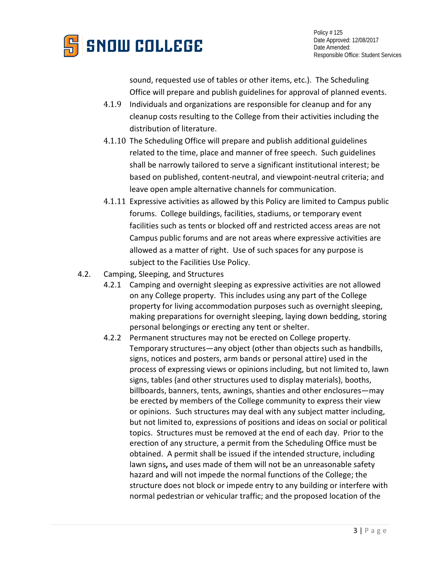

sound, requested use of tables or other items, etc.). The Scheduling Office will prepare and publish guidelines for approval of planned events.

- 4.1.9 Individuals and organizations are responsible for cleanup and for any cleanup costs resulting to the College from their activities including the distribution of literature.
- 4.1.10 The Scheduling Office will prepare and publish additional guidelines related to the time, place and manner of free speech. Such guidelines shall be narrowly tailored to serve a significant institutional interest; be based on published, content-neutral, and viewpoint-neutral criteria; and leave open ample alternative channels for communication.
- 4.1.11 Expressive activities as allowed by this Policy are limited to Campus public forums. College buildings, facilities, stadiums, or temporary event facilities such as tents or blocked off and restricted access areas are not Campus public forums and are not areas where expressive activities are allowed as a matter of right. Use of such spaces for any purpose is subject to the Facilities Use Policy.
- 4.2. Camping, Sleeping, and Structures
	- 4.2.1 Camping and overnight sleeping as expressive activities are not allowed on any College property. This includes using any part of the College property for living accommodation purposes such as overnight sleeping, making preparations for overnight sleeping, laying down bedding, storing personal belongings or erecting any tent or shelter.
	- 4.2.2 Permanent structures may not be erected on College property. Temporary structures—any object (other than objects such as handbills, signs, notices and posters, arm bands or personal attire) used in the process of expressing views or opinions including, but not limited to, lawn signs, tables (and other structures used to display materials), booths, billboards, banners, tents, awnings, shanties and other enclosures—may be erected by members of the College community to express their view or opinions. Such structures may deal with any subject matter including, but not limited to, expressions of positions and ideas on social or political topics. Structures must be removed at the end of each day. Prior to the erection of any structure, a permit from the Scheduling Office must be obtained. A permit shall be issued if the intended structure, including lawn signs**,** and uses made of them will not be an unreasonable safety hazard and will not impede the normal functions of the College; the structure does not block or impede entry to any building or interfere with normal pedestrian or vehicular traffic; and the proposed location of the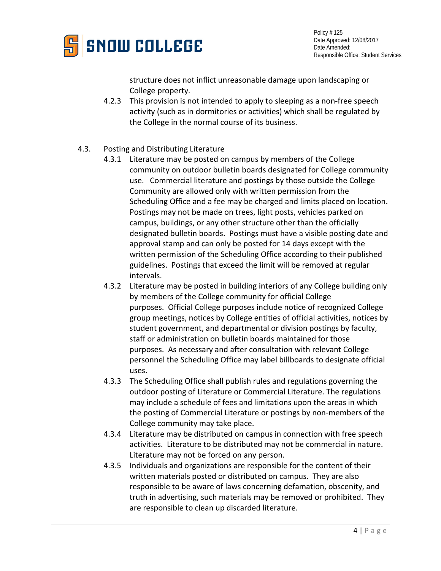

Policy # 125 Date Approved: 12/08/2017 Date Amended: Responsible Office: Student Services

structure does not inflict unreasonable damage upon landscaping or College property.

- 4.2.3 This provision is not intended to apply to sleeping as a non-free speech activity (such as in dormitories or activities) which shall be regulated by the College in the normal course of its business.
- 4.3. Posting and Distributing Literature
	- 4.3.1 Literature may be posted on campus by members of the College community on outdoor bulletin boards designated for College community use. Commercial literature and postings by those outside the College Community are allowed only with written permission from the Scheduling Office and a fee may be charged and limits placed on location. Postings may not be made on trees, light posts, vehicles parked on campus, buildings, or any other structure other than the officially designated bulletin boards. Postings must have a visible posting date and approval stamp and can only be posted for 14 days except with the written permission of the Scheduling Office according to their published guidelines. Postings that exceed the limit will be removed at regular intervals.
	- 4.3.2 Literature may be posted in building interiors of any College building only by members of the College community for official College purposes. Official College purposes include notice of recognized College group meetings, notices by College entities of official activities, notices by student government, and departmental or division postings by faculty, staff or administration on bulletin boards maintained for those purposes. As necessary and after consultation with relevant College personnel the Scheduling Office may label billboards to designate official uses.
	- 4.3.3 The Scheduling Office shall publish rules and regulations governing the outdoor posting of Literature or Commercial Literature. The regulations may include a schedule of fees and limitations upon the areas in which the posting of Commercial Literature or postings by non-members of the College community may take place.
	- 4.3.4 Literature may be distributed on campus in connection with free speech activities. Literature to be distributed may not be commercial in nature. Literature may not be forced on any person.
	- 4.3.5 Individuals and organizations are responsible for the content of their written materials posted or distributed on campus. They are also responsible to be aware of laws concerning defamation, obscenity, and truth in advertising, such materials may be removed or prohibited. They are responsible to clean up discarded literature.